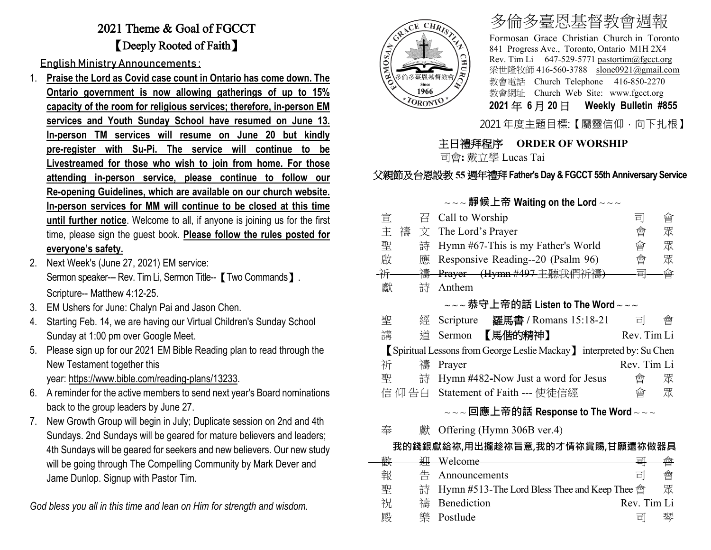## 2021 Theme & Goal of FGCCT 【Deeply Rooted of Faith】

English Ministry Announcements :

- 1. **Praise the Lord as Covid case count in Ontario has come down. The Ontario government is now allowing gatherings of up to 15% capacity of the room for religious services; therefore, in-person EM services and Youth Sunday School have resumed on June 13. In-person TM services will resume on June 20 but kindly pre-register with Su-Pi. The service will continue to be Livestreamed for those who wish to join from home. For those attending in-person service, please continue to follow our Re-opening Guidelines, which are available on our church website. In-person services for MM will continue to be closed at this time until further notice**. Welcome to all, if anyone is joining us for the first time, please sign the guest book. **Please follow the rules posted for everyone's safety.**
- 2. Next Week's (June 27, 2021) EM service: Sermon speaker--- Rev. Tim Li, Sermon Title-- 【Two Commands 】. Scripture-- Matthew 4:12-25.
- 3. EM Ushers for June: Chalyn Pai and Jason Chen.
- 4. Starting Feb. 14, we are having our Virtual Children's Sunday School Sunday at 1:00 pm over Google Meet.
- 5. Please sign up for our 2021 EM Bible Reading plan to read through the New Testament together this year: [https://www.bible.com/reading-plans/13233.](https://www.bible.com/reading-plans/13233)
- 6. A reminder for the active members to send next year's Board nominations back to the group leaders by June 27.
- 7. New Growth Group will begin in July; Duplicate session on 2nd and 4th Sundays. 2nd Sundays will be geared for mature believers and leaders; 4th Sundays will be geared for seekers and new believers. Our new study will be going through The Compelling Community by Mark Dever and Jame Dunlop. Signup with Pastor Tim.

*God bless you all in this time and lean on Him for strength and wisdom.*



# 多倫多臺恩基督教會週報

Formosan Grace Christian Church in Toronto 841 Progress Ave., Toronto, Ontario M1H 2X4 Rev. Tim Li 647-529-5771 [pastortim@fgcct.org](mailto:pastortim@fgcct.org) 梁世隆牧師 416-560-3788 slone0921@gmail.com 教會電話 Church Telephone 416-850-2270 教會網址 Church Web Site: www.fgcct.org **2021** 年 **6** 月 **20** 日 **Weekly Bulletin #855** 

2021 年度主題目標:【屬靈信仰,向下扎根】

## 主日禮拜程序 **ORDER OF WORSHIP**

司會**:** 戴立學 Lucas Tai

## 父親節及台恩設教 **55** 週年禮拜**Father's Day & FGCCT 55th Anniversary Service**

#### ~ ~ ~ **靜候上帝 Waiting on the Lord** ~ ~ ~

| 宣 |        | $\overline{H}$ Call to Worship                                                                                                        | 킈           | 會 |
|---|--------|---------------------------------------------------------------------------------------------------------------------------------------|-------------|---|
| 主 | 禱<br>文 | The Lord's Prayer                                                                                                                     | 會           | 眾 |
| 聖 | 詩      | Hymn #67-This is my Father's World                                                                                                    | 會           | 眾 |
| 啟 | 應      | Responsive Reading--20 (Psalm 96)                                                                                                     | 會           | 眾 |
| 并 | 禱      | Prayer (Hymn #497 主聽我們祈禱)                                                                                                             | 큘           | 會 |
| 獻 | 詩      | Anthem                                                                                                                                |             |   |
|   |        | $\scriptstyle\mathtt{\sim}\mathtt{\sim}\mathtt{\sim}$ 恭守上帝的話 Listen to The Word $\scriptstyle\mathtt{\sim}\mathtt{\sim}\mathtt{\sim}$ |             |   |
| 聖 | 經      | Scripture 羅馬書 / Romans 15:18-21                                                                                                       | 하           | 曾 |
| 講 | 道      | 【馬偕的精神】<br>Sermon                                                                                                                     | Rev. Tim Li |   |
|   |        | Spiritual Lessons from George Leslie Mackay linterpreted by: Su Chen                                                                  |             |   |
| 祈 | 禱      | Prayer                                                                                                                                | Rev. Tim Li |   |
| 聖 | 詩      | Hymn #482-Now Just a word for Jesus                                                                                                   | 會           | 眾 |
|   | 仰告白    | Statement of Faith --- 使徒信經                                                                                                           | 會           | 眾 |

### ~ ~ ~ **回應上帝的話 Response to The Word** ~ ~ ~

奉 獻 Offering (Hymn 306B ver.4)

### **我的錢銀獻給祢,用出攏趁祢旨意,我的才情祢賞賜,甘願還祢做器具**

| 亜布 |   |                                                 |             |   |
|----|---|-------------------------------------------------|-------------|---|
| 世八 |   |                                                 |             |   |
| 報  |   | 告 Announcements                                 | 亘           | 曾 |
| 聖  |   | 詩 Hymn #513-The Lord Bless Thee and Keep Thee 會 |             | 眾 |
| 祝  |   | 禱 Benediction                                   | Rev. Tim Li |   |
| 殿  | 卛 | Postlude                                        | ᆸ           | 琴 |